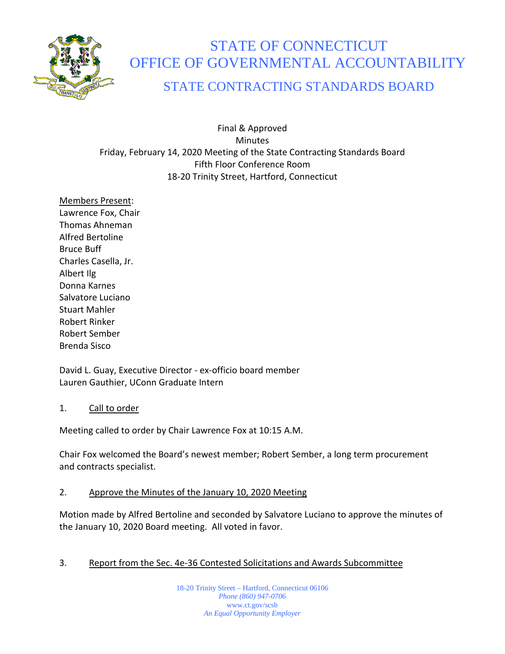

# STATE OF CONNECTICUT OFFICE OF GOVERNMENTAL ACCOUNTABILITY

# STATE CONTRACTING STANDARDS BOARD

Final & Approved **Minutes** Friday, February 14, 2020 Meeting of the State Contracting Standards Board Fifth Floor Conference Room 18-20 Trinity Street, Hartford, Connecticut

Members Present: Lawrence Fox, Chair Thomas Ahneman Alfred Bertoline Bruce Buff Charles Casella, Jr. Albert Ilg Donna Karnes Salvatore Luciano Stuart Mahler Robert Rinker Robert Sember Brenda Sisco

David L. Guay, Executive Director - ex-officio board member Lauren Gauthier, UConn Graduate Intern

## 1. Call to order

Meeting called to order by Chair Lawrence Fox at 10:15 A.M.

Chair Fox welcomed the Board's newest member; Robert Sember, a long term procurement and contracts specialist.

## 2. Approve the Minutes of the January 10, 2020 Meeting

Motion made by Alfred Bertoline and seconded by Salvatore Luciano to approve the minutes of the January 10, 2020 Board meeting. All voted in favor.

# 3. Report from the Sec. 4e-36 Contested Solicitations and Awards Subcommittee

18-20 Trinity Street – Hartford, Connecticut 06106 *Phone (860) 947-0706*  www.ct.gov/scsb *An Equal Opportunity Employer*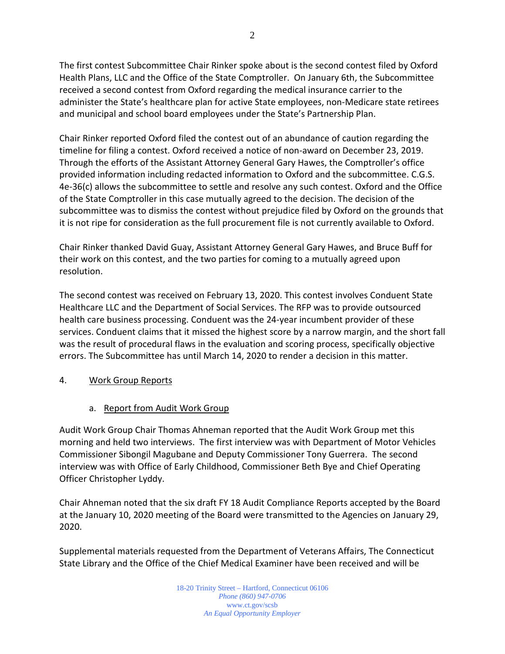The first contest Subcommittee Chair Rinker spoke about is the second contest filed by Oxford Health Plans, LLC and the Office of the State Comptroller. On January 6th, the Subcommittee received a second contest from Oxford regarding the medical insurance carrier to the administer the State's healthcare plan for active State employees, non-Medicare state retirees and municipal and school board employees under the State's Partnership Plan.

Chair Rinker reported Oxford filed the contest out of an abundance of caution regarding the timeline for filing a contest. Oxford received a notice of non-award on December 23, 2019. Through the efforts of the Assistant Attorney General Gary Hawes, the Comptroller's office provided information including redacted information to Oxford and the subcommittee. C.G.S. 4e-36(c) allows the subcommittee to settle and resolve any such contest. Oxford and the Office of the State Comptroller in this case mutually agreed to the decision. The decision of the subcommittee was to dismiss the contest without prejudice filed by Oxford on the grounds that it is not ripe for consideration as the full procurement file is not currently available to Oxford.

Chair Rinker thanked David Guay, Assistant Attorney General Gary Hawes, and Bruce Buff for their work on this contest, and the two parties for coming to a mutually agreed upon resolution.

The second contest was received on February 13, 2020. This contest involves Conduent State Healthcare LLC and the Department of Social Services. The RFP was to provide outsourced health care business processing. Conduent was the 24-year incumbent provider of these services. Conduent claims that it missed the highest score by a narrow margin, and the short fall was the result of procedural flaws in the evaluation and scoring process, specifically objective errors. The Subcommittee has until March 14, 2020 to render a decision in this matter.

## 4. Work Group Reports

a. Report from Audit Work Group

Audit Work Group Chair Thomas Ahneman reported that the Audit Work Group met this morning and held two interviews. The first interview was with Department of Motor Vehicles Commissioner Sibongil Magubane and Deputy Commissioner Tony Guerrera. The second interview was with Office of Early Childhood, Commissioner Beth Bye and Chief Operating Officer Christopher Lyddy.

Chair Ahneman noted that the six draft FY 18 Audit Compliance Reports accepted by the Board at the January 10, 2020 meeting of the Board were transmitted to the Agencies on January 29, 2020.

Supplemental materials requested from the Department of Veterans Affairs, The Connecticut State Library and the Office of the Chief Medical Examiner have been received and will be

> 18-20 Trinity Street – Hartford, Connecticut 06106 *Phone (860) 947-0706*  www.ct.gov/scsb *An Equal Opportunity Employer*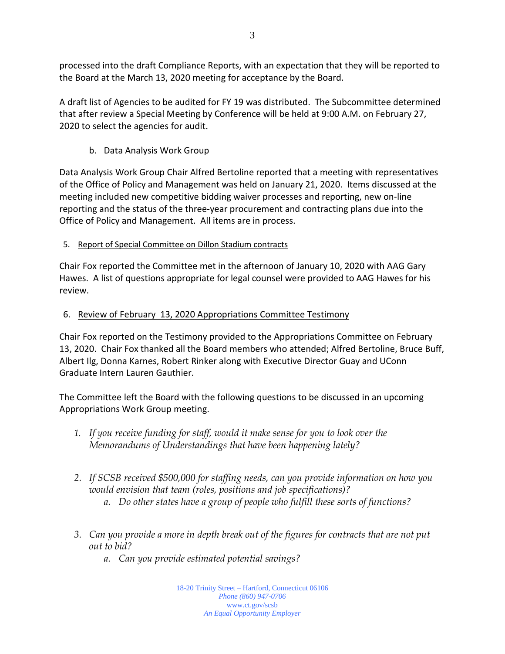processed into the draft Compliance Reports, with an expectation that they will be reported to the Board at the March 13, 2020 meeting for acceptance by the Board.

A draft list of Agencies to be audited for FY 19 was distributed. The Subcommittee determined that after review a Special Meeting by Conference will be held at 9:00 A.M. on February 27, 2020 to select the agencies for audit.

# b. Data Analysis Work Group

Data Analysis Work Group Chair Alfred Bertoline reported that a meeting with representatives of the Office of Policy and Management was held on January 21, 2020. Items discussed at the meeting included new competitive bidding waiver processes and reporting, new on-line reporting and the status of the three-year procurement and contracting plans due into the Office of Policy and Management. All items are in process.

# 5. Report of Special Committee on Dillon Stadium contracts

Chair Fox reported the Committee met in the afternoon of January 10, 2020 with AAG Gary Hawes. A list of questions appropriate for legal counsel were provided to AAG Hawes for his review.

# 6. Review of February 13, 2020 Appropriations Committee Testimony

Chair Fox reported on the Testimony provided to the Appropriations Committee on February 13, 2020. Chair Fox thanked all the Board members who attended; Alfred Bertoline, Bruce Buff, Albert Ilg, Donna Karnes, Robert Rinker along with Executive Director Guay and UConn Graduate Intern Lauren Gauthier.

The Committee left the Board with the following questions to be discussed in an upcoming Appropriations Work Group meeting.

- *1. If you receive funding for staff, would it make sense for you to look over the Memorandums of Understandings that have been happening lately?*
- *2. If SCSB received \$500,000 for staffing needs, can you provide information on how you would envision that team (roles, positions and job specifications)?*
	- *a. Do other states have a group of people who fulfill these sorts of functions?*
- *3. Can you provide a more in depth break out of the figures for contracts that are not put out to bid?*
	- *a. Can you provide estimated potential savings?*